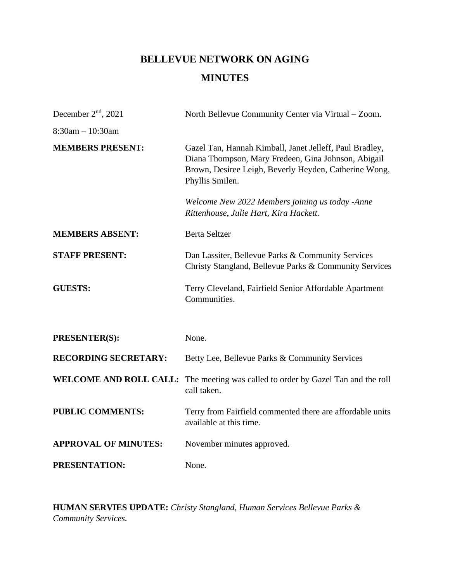# **BELLEVUE NETWORK ON AGING MINUTES**

| December $2nd$ , 2021         | North Bellevue Community Center via Virtual – Zoom.                                                                                                                                        |
|-------------------------------|--------------------------------------------------------------------------------------------------------------------------------------------------------------------------------------------|
| $8:30am - 10:30am$            |                                                                                                                                                                                            |
| <b>MEMBERS PRESENT:</b>       | Gazel Tan, Hannah Kimball, Janet Jelleff, Paul Bradley,<br>Diana Thompson, Mary Fredeen, Gina Johnson, Abigail<br>Brown, Desiree Leigh, Beverly Heyden, Catherine Wong,<br>Phyllis Smilen. |
|                               | Welcome New 2022 Members joining us today -Anne<br>Rittenhouse, Julie Hart, Kira Hackett.                                                                                                  |
| <b>MEMBERS ABSENT:</b>        | <b>Berta Seltzer</b>                                                                                                                                                                       |
| <b>STAFF PRESENT:</b>         | Dan Lassiter, Bellevue Parks & Community Services<br>Christy Stangland, Bellevue Parks & Community Services                                                                                |
| <b>GUESTS:</b>                | Terry Cleveland, Fairfield Senior Affordable Apartment<br>Communities.                                                                                                                     |
| PRESENTER(S):                 | None.                                                                                                                                                                                      |
| <b>RECORDING SECRETARY:</b>   | Betty Lee, Bellevue Parks & Community Services                                                                                                                                             |
| <b>WELCOME AND ROLL CALL:</b> | The meeting was called to order by Gazel Tan and the roll<br>call taken.                                                                                                                   |
| <b>PUBLIC COMMENTS:</b>       | Terry from Fairfield commented there are affordable units<br>available at this time.                                                                                                       |
| <b>APPROVAL OF MINUTES:</b>   | November minutes approved.                                                                                                                                                                 |
| PRESENTATION:                 | None.                                                                                                                                                                                      |

**HUMAN SERVIES UPDATE:** *Christy Stangland, Human Services Bellevue Parks & Community Services.*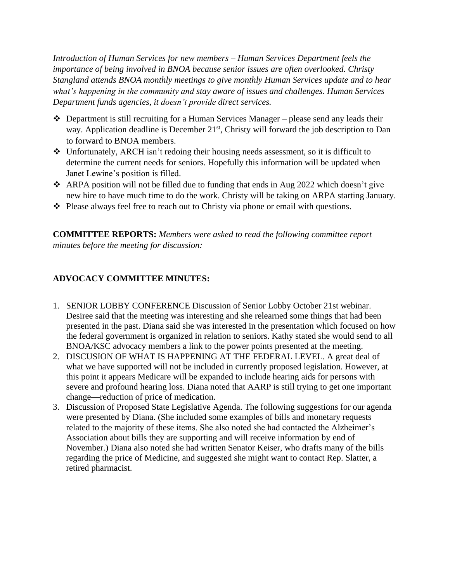*Introduction of Human Services for new members – Human Services Department feels the importance of being involved in BNOA because senior issues are often overlooked. Christy Stangland attends BNOA monthly meetings to give monthly Human Services update and to hear what's happening in the community and stay aware of issues and challenges. Human Services Department funds agencies, it doesn't provide direct services.* 

- ❖ Department is still recruiting for a Human Services Manager please send any leads their way. Application deadline is December 21<sup>st</sup>, Christy will forward the job description to Dan to forward to BNOA members.
- ❖ Unfortunately, ARCH isn't redoing their housing needs assessment, so it is difficult to determine the current needs for seniors. Hopefully this information will be updated when Janet Lewine's position is filled.
- ❖ ARPA position will not be filled due to funding that ends in Aug 2022 which doesn't give new hire to have much time to do the work. Christy will be taking on ARPA starting January.
- ❖ Please always feel free to reach out to Christy via phone or email with questions.

**COMMITTEE REPORTS:** *Members were asked to read the following committee report minutes before the meeting for discussion:* 

#### **ADVOCACY COMMITTEE MINUTES:**

- 1. SENIOR LOBBY CONFERENCE Discussion of Senior Lobby October 21st webinar. Desiree said that the meeting was interesting and she relearned some things that had been presented in the past. Diana said she was interested in the presentation which focused on how the federal government is organized in relation to seniors. Kathy stated she would send to all BNOA/KSC advocacy members a link to the power points presented at the meeting.
- 2. DISCUSION OF WHAT IS HAPPENING AT THE FEDERAL LEVEL. A great deal of what we have supported will not be included in currently proposed legislation. However, at this point it appears Medicare will be expanded to include hearing aids for persons with severe and profound hearing loss. Diana noted that AARP is still trying to get one important change—reduction of price of medication.
- 3. Discussion of Proposed State Legislative Agenda. The following suggestions for our agenda were presented by Diana. (She included some examples of bills and monetary requests related to the majority of these items. She also noted she had contacted the Alzheimer's Association about bills they are supporting and will receive information by end of November.) Diana also noted she had written Senator Keiser, who drafts many of the bills regarding the price of Medicine, and suggested she might want to contact Rep. Slatter, a retired pharmacist.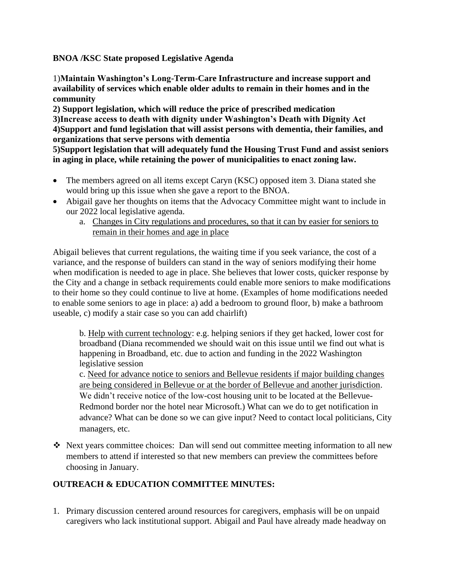**BNOA /KSC State proposed Legislative Agenda**

1)**Maintain Washington's Long-Term-Care Infrastructure and increase support and availability of services which enable older adults to remain in their homes and in the community** 

**2) Support legislation, which will reduce the price of prescribed medication 3)Increase access to death with dignity under Washington's Death with Dignity Act 4)Support and fund legislation that will assist persons with dementia, their families, and organizations that serve persons with dementia** 

**5)Support legislation that will adequately fund the Housing Trust Fund and assist seniors in aging in place, while retaining the power of municipalities to enact zoning law.** 

- The members agreed on all items except Caryn (KSC) opposed item 3. Diana stated she would bring up this issue when she gave a report to the BNOA.
- Abigail gave her thoughts on items that the Advocacy Committee might want to include in our 2022 local legislative agenda.
	- a. Changes in City regulations and procedures, so that it can by easier for seniors to remain in their homes and age in place

Abigail believes that current regulations, the waiting time if you seek variance, the cost of a variance, and the response of builders can stand in the way of seniors modifying their home when modification is needed to age in place. She believes that lower costs, quicker response by the City and a change in setback requirements could enable more seniors to make modifications to their home so they could continue to live at home. (Examples of home modifications needed to enable some seniors to age in place: a) add a bedroom to ground floor, b) make a bathroom useable, c) modify a stair case so you can add chairlift)

b. Help with current technology: e.g. helping seniors if they get hacked, lower cost for broadband (Diana recommended we should wait on this issue until we find out what is happening in Broadband, etc. due to action and funding in the 2022 Washington legislative session

c. Need for advance notice to seniors and Bellevue residents if major building changes are being considered in Bellevue or at the border of Bellevue and another jurisdiction. We didn't receive notice of the low-cost housing unit to be located at the Bellevue-Redmond border nor the hotel near Microsoft.) What can we do to get notification in advance? What can be done so we can give input? Need to contact local politicians, City managers, etc.

❖ Next years committee choices: Dan will send out committee meeting information to all new members to attend if interested so that new members can preview the committees before choosing in January.

#### **OUTREACH & EDUCATION COMMITTEE MINUTES:**

1. Primary discussion centered around resources for caregivers, emphasis will be on unpaid caregivers who lack institutional support. Abigail and Paul have already made headway on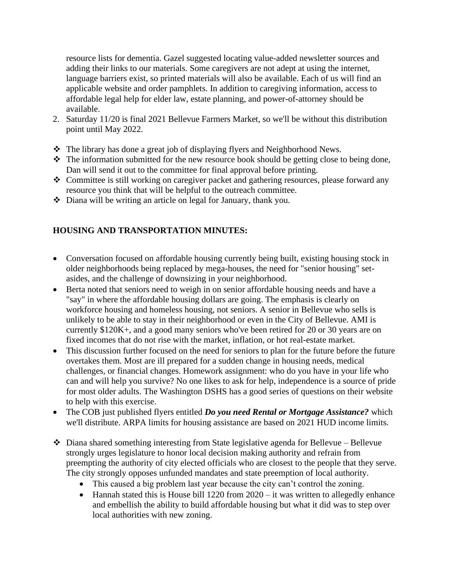resource lists for dementia. Gazel suggested locating value-added newsletter sources and adding their links to our materials. Some caregivers are not adept at using the internet, language barriers exist, so printed materials will also be available. Each of us will find an applicable website and order pamphlets. In addition to caregiving information, access to affordable legal help for elder law, estate planning, and power-of-attorney should be available.

- 2. Saturday 11/20 is final 2021 Bellevue Farmers Market, so we'll be without this distribution point until May 2022.
- ❖ The library has done a great job of displaying flyers and Neighborhood News.
- ❖ The information submitted for the new resource book should be getting close to being done, Dan will send it out to the committee for final approval before printing.
- ❖ Committee is still working on caregiver packet and gathering resources, please forward any resource you think that will be helpful to the outreach committee.
- ❖ Diana will be writing an article on legal for January, thank you.

## **HOUSING AND TRANSPORTATION MINUTES:**

- Conversation focused on affordable housing currently being built, existing housing stock in older neighborhoods being replaced by mega-houses, the need for "senior housing" setasides, and the challenge of downsizing in your neighborhood.
- Berta noted that seniors need to weigh in on senior affordable housing needs and have a "say" in where the affordable housing dollars are going. The emphasis is clearly on workforce housing and homeless housing, not seniors. A senior in Bellevue who sells is unlikely to be able to stay in their neighborhood or even in the City of Bellevue. AMI is currently \$120K+, and a good many seniors who've been retired for 20 or 30 years are on fixed incomes that do not rise with the market, inflation, or hot real-estate market.
- This discussion further focused on the need for seniors to plan for the future before the future overtakes them. Most are ill prepared for a sudden change in housing needs, medical challenges, or financial changes. Homework assignment: who do you have in your life who can and will help you survive? No one likes to ask for help, independence is a source of pride for most older adults. The Washington DSHS has a good series of questions on their website to help with this exercise.
- The COB just published flyers entitled *Do you need Rental or Mortgage Assistance?* which we'll distribute. ARPA limits for housing assistance are based on 2021 HUD income limits.
- ❖ Diana shared something interesting from State legislative agenda for Bellevue Bellevue strongly urges legislature to honor local decision making authority and refrain from preempting the authority of city elected officials who are closest to the people that they serve. The city strongly opposes unfunded mandates and state preemption of local authority.
	- This caused a big problem last year because the city can't control the zoning.
	- Hannah stated this is House bill  $1220$  from  $2020 it$  was written to allegedly enhance and embellish the ability to build affordable housing but what it did was to step over local authorities with new zoning.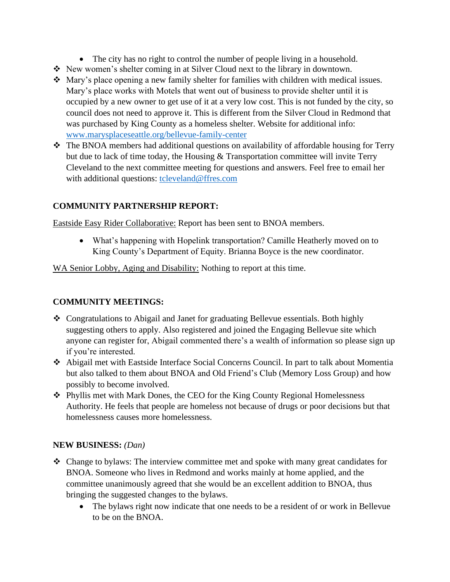- The city has no right to control the number of people living in a household.
- ❖ New women's shelter coming in at Silver Cloud next to the library in downtown.
- ❖ Mary's place opening a new family shelter for families with children with medical issues. Mary's place works with Motels that went out of business to provide shelter until it is occupied by a new owner to get use of it at a very low cost. This is not funded by the city, so council does not need to approve it. This is different from the Silver Cloud in Redmond that was purchased by King County as a homeless shelter. Website for additional info: [www.marysplaceseattle.org/bellevue-family-center](http://www.marysplaceseattle.org/bellevue-family-center)
- ❖ The BNOA members had additional questions on availability of affordable housing for Terry but due to lack of time today, the Housing & Transportation committee will invite Terry Cleveland to the next committee meeting for questions and answers. Feel free to email her with additional questions: [tcleveland@ffres.com](mailto:tcleveland@ffres.com)

## **COMMUNITY PARTNERSHIP REPORT:**

Eastside Easy Rider Collaborative: Report has been sent to BNOA members.

• What's happening with Hopelink transportation? Camille Heatherly moved on to King County's Department of Equity. Brianna Boyce is the new coordinator.

WA Senior Lobby, Aging and Disability: Nothing to report at this time.

## **COMMUNITY MEETINGS:**

- ❖ Congratulations to Abigail and Janet for graduating Bellevue essentials. Both highly suggesting others to apply. Also registered and joined the Engaging Bellevue site which anyone can register for, Abigail commented there's a wealth of information so please sign up if you're interested.
- ❖ Abigail met with Eastside Interface Social Concerns Council. In part to talk about Momentia but also talked to them about BNOA and Old Friend's Club (Memory Loss Group) and how possibly to become involved.
- ❖ Phyllis met with Mark Dones, the CEO for the King County Regional Homelessness Authority. He feels that people are homeless not because of drugs or poor decisions but that homelessness causes more homelessness.

#### **NEW BUSINESS:** *(Dan)*

- ❖ Change to bylaws: The interview committee met and spoke with many great candidates for BNOA. Someone who lives in Redmond and works mainly at home applied, and the committee unanimously agreed that she would be an excellent addition to BNOA, thus bringing the suggested changes to the bylaws.
	- The bylaws right now indicate that one needs to be a resident of or work in Bellevue to be on the BNOA.